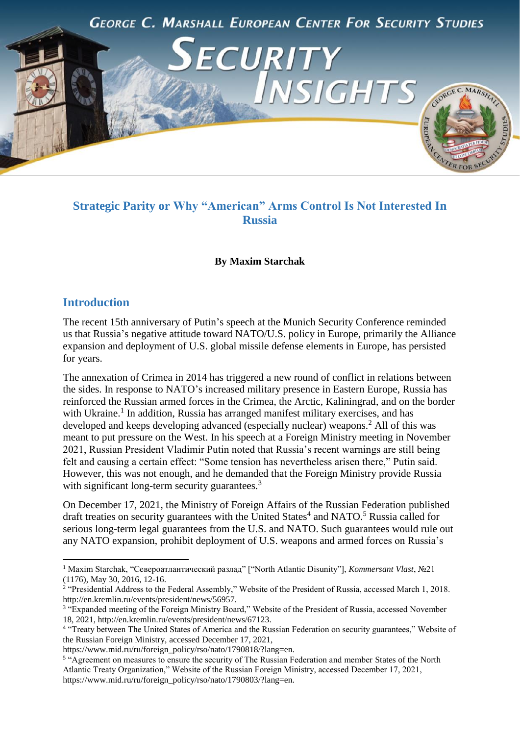

# **Strategic Parity or Why "American" Arms Control Is Not Interested In Russia**

#### **By Maxim Starchak**

### **Introduction**

**.** 

The recent 15th anniversary of Putin's speech at the Munich Security Conference reminded us that Russia's negative attitude toward NATO/U.S. policy in Europe, primarily the Alliance expansion and deployment of U.S. global missile defense elements in Europe, has persisted for years.

The annexation of Crimea in 2014 has triggered a new round of conflict in relations between the sides. In response to NATO's increased military presence in Eastern Europe, Russia has reinforced the Russian armed forces in the Crimea, the Arctic, Kaliningrad, and on the border with Ukraine.<sup>1</sup> In addition, Russia has arranged manifest military exercises, and has developed and keeps developing advanced (especially nuclear) weapons.<sup>2</sup> All of this was meant to put pressure on the West. In his speech at a Foreign Ministry meeting in November 2021, Russian President Vladimir Putin noted that Russia's recent warnings are still being felt and causing a certain effect: "Some tension has nevertheless arisen there," Putin said. However, this was not enough, and he demanded that the Foreign Ministry provide Russia with significant long-term security guarantees.<sup>3</sup>

On December 17, 2021, the Ministry of Foreign Affairs of the Russian Federation published draft treaties on security guarantees with the United States<sup>4</sup> and NATO.<sup>5</sup> Russia called for serious long-term legal guarantees from the U.S. and NATO. Such guarantees would rule out any NATO expansion, prohibit deployment of U.S. weapons and armed forces on Russia's

<sup>1</sup> Maxim Starchak, "Североатлантический разлад" ["North Atlantic Disunity"], *Kommersant Vlast*, №21 (1176), May 30, 2016, 12-16.

<sup>&</sup>lt;sup>2</sup> "Presidential Address to the Federal Assembly," Website of the President of Russia, accessed March 1, 2018. http://en.kremlin.ru/events/president/news/56957.

<sup>&</sup>lt;sup>3</sup> "Expanded meeting of the Foreign Ministry Board," Website of the President of Russia, accessed November 18, 2021, http://en.kremlin.ru/events/president/news/67123.

<sup>&</sup>lt;sup>4</sup> "Treaty between The United States of America and the Russian Federation on security guarantees," Website of the Russian Foreign Ministry, accessed December 17, 2021,

https://www.mid.ru/ru/foreign\_policy/rso/nato/1790818/?lang=en.

<sup>&</sup>lt;sup>5</sup> "Agreement on measures to ensure the security of The Russian Federation and member States of the North Atlantic Treaty Organization," Website of the Russian Foreign Ministry, accessed December 17, 2021, https://www.mid.ru/ru/foreign\_policy/rso/nato/1790803/?lang=en.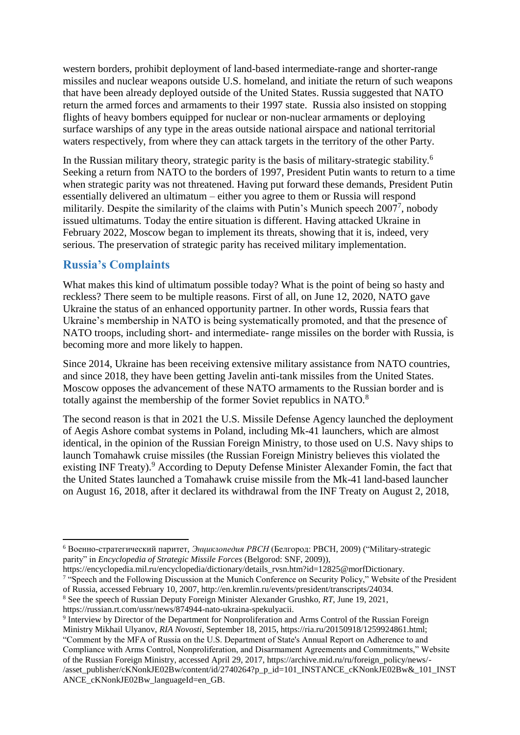western borders, prohibit deployment of land-based intermediate-range and shorter-range missiles and nuclear weapons outside U.S. homeland, and initiate the return of such weapons that have been already deployed outside of the United States. Russia suggested that NATO return the armed forces and armaments to their 1997 state. Russia also insisted on stopping flights of heavy bombers equipped for nuclear or non-nuclear armaments or deploying surface warships of any type in the areas outside national airspace and national territorial waters respectively, from where they can attack targets in the territory of the other Party.

In the Russian military theory, strategic parity is the basis of military-strategic stability.<sup>6</sup> Seeking a return from NATO to the borders of 1997, President Putin wants to return to a time when strategic parity was not threatened. Having put forward these demands, President Putin essentially delivered an ultimatum – either you agree to them or Russia will respond militarily. Despite the similarity of the claims with Putin's Munich speech 2007<sup>7</sup>, nobody issued ultimatums. Today the entire situation is different. Having attacked Ukraine in February 2022, Moscow began to implement its threats, showing that it is, indeed, very serious. The preservation of strategic parity has received military implementation.

## **Russia's Complaints**

 $\overline{a}$ 

What makes this kind of ultimatum possible today? What is the point of being so hasty and reckless? There seem to be multiple reasons. First of all, on June 12, 2020, NATO gave Ukraine the status of an enhanced opportunity partner. In other words, Russia fears that Ukraine's membership in NATO is being systematically promoted, and that the presence of NATO troops, including short- and intermediate- range missiles on the border with Russia, is becoming more and more likely to happen.

Since 2014, Ukraine has been receiving extensive military assistance from NATO countries, and since 2018, they have been getting Javelin anti-tank missiles from the United States. Moscow opposes the advancement of these NATO armaments to the Russian border and is totally against the membership of the former Soviet republics in NATO.<sup>8</sup>

The second reason is that in 2021 the U.S. Missile Defense Agency launched the deployment of Aegis Ashore combat systems in Poland, including Mk-41 launchers, which are almost identical, in the opinion of the Russian Foreign Ministry, to those used on U.S. Navy ships to launch Tomahawk cruise missiles (the Russian Foreign Ministry believes this violated the existing INF Treaty).<sup>9</sup> According to Deputy Defense Minister Alexander Fomin, the fact that the United States launched a Tomahawk cruise missile from the Mk-41 land-based launcher on August 16, 2018, after it declared its withdrawal from the INF Treaty on August 2, 2018,

<sup>6</sup> Военно-стратегический паритет, *Энциклопедия РВСН* (Белгород: РВСН, 2009) ("Military-strategic parity" in *Encyclopedia of Strategic Missile Forces* (Belgorod: SNF, 2009)),

https://encyclopedia.mil.ru/encyclopedia/dictionary/details\_rvsn.htm?id=12825@morfDictionary.

<sup>&</sup>lt;sup>7</sup> "Speech and the Following Discussion at the Munich Conference on Security Policy," Website of the President of Russia, accessed February 10, 2007, http://en.kremlin.ru/events/president/transcripts/24034.

<sup>8</sup> See the speech of Russian Deputy Foreign Minister Alexander Grushko, *RT*, June 19, 2021,

https://russian.rt.com/ussr/news/874944-nato-ukraina-spekulyacii.

<sup>&</sup>lt;sup>9</sup> Interview by Director of the Department for Nonproliferation and Arms Control of the Russian Foreign Ministry Mikhail Ulyanov, *RIA Novosti*, September 18, 2015, https://ria.ru/20150918/1259924861.html; "Comment by the MFA of Russia on the U.S. Department of State's Annual Report on Adherence to and Compliance with Arms Control, Nonproliferation, and Disarmament Agreements and Commitments," Website of the Russian Foreign Ministry, accessed April 29, 2017, https://archive.mid.ru/ru/foreign\_policy/news/- /asset\_publisher/cKNonkJE02Bw/content/id/2740264?p\_p\_id=101\_INSTANCE\_cKNonkJE02Bw&\_101\_INST ANCE\_cKNonkJE02Bw\_languageId=en\_GB.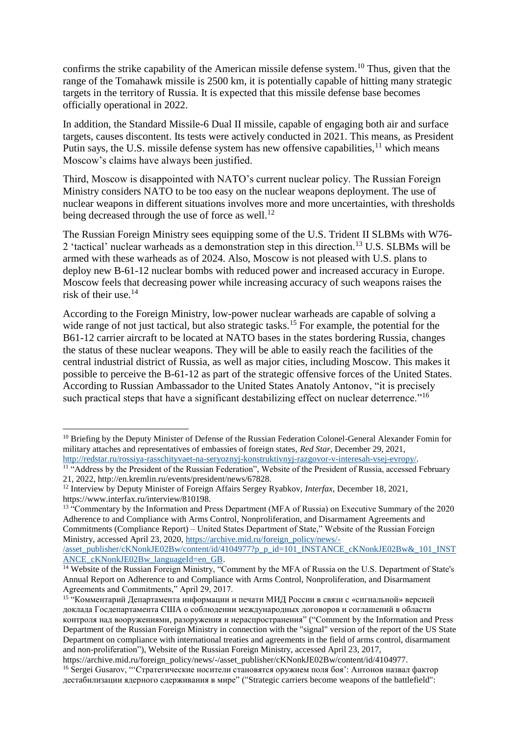confirms the strike capability of the American missile defense system.<sup>10</sup> Thus, given that the range of the Tomahawk missile is 2500 km, it is potentially capable of hitting many strategic targets in the territory of Russia. It is expected that this missile defense base becomes officially operational in 2022.

In addition, the Standard Missile-6 Dual II missile, capable of engaging both air and surface targets, causes discontent. Its tests were actively conducted in 2021. This means, as President Putin says, the U.S. missile defense system has new offensive capabilities,  $11$  which means Moscow's claims have always been justified.

Third, Moscow is disappointed with NATO's current nuclear policy. The Russian Foreign Ministry considers NATO to be too easy on the nuclear weapons deployment. The use of nuclear weapons in different situations involves more and more uncertainties, with thresholds being decreased through the use of force as well.<sup>12</sup>

The Russian Foreign Ministry sees equipping some of the U.S. Trident II SLBMs with W76- 2 'tactical' nuclear warheads as a demonstration step in this direction.<sup>13</sup> U.S. SLBMs will be armed with these warheads as of 2024. Also, Moscow is not pleased with U.S. plans to deploy new B-61-12 nuclear bombs with reduced power and increased accuracy in Europe. Moscow feels that decreasing power while increasing accuracy of such weapons raises the risk of their use.<sup>14</sup>

According to the Foreign Ministry, low-power nuclear warheads are capable of solving a wide range of not just tactical, but also strategic tasks.<sup>15</sup> For example, the potential for the B61-12 carrier aircraft to be located at NATO bases in the states bordering Russia, changes the status of these nuclear weapons. They will be able to easily reach the facilities of the central industrial district of Russia, as well as major cities, including Moscow. This makes it possible to perceive the B-61-12 as part of the strategic offensive forces of the United States. According to Russian Ambassador to the United States Anatoly Antonov, "it is precisely such practical steps that have a significant destabilizing effect on nuclear deterrence."<sup>16</sup>

**.** 

<sup>&</sup>lt;sup>10</sup> Briefing by the Deputy Minister of Defense of the Russian Federation Colonel-General Alexander Fomin for military attaches and representatives of embassies of foreign states, *Red Star*, December 29, 2021, [http://redstar.ru/rossiya-rasschityvaet-na-seryoznyj-konstruktivnyj-razgovor-v-interesah-vsej-evropy/.](http://redstar.ru/rossiya-rasschityvaet-na-seryoznyj-konstruktivnyj-razgovor-v-interesah-vsej-evropy/)

<sup>&</sup>lt;sup>11</sup> "Address by the President of the Russian Federation", Website of the President of Russia, accessed February 21, 2022, http://en.kremlin.ru/events/president/news/67828.

<sup>12</sup> Interview by Deputy Minister of Foreign Affairs Sergey Ryabkov, *Interfax*, December 18, 2021, https://www.interfax.ru/interview/810198.

<sup>&</sup>lt;sup>13</sup> "Commentary by the Information and Press Department (MFA of Russia) on Executive Summary of the 2020 Adherence to and Compliance with Arms Control, Nonproliferation, and Disarmament Agreements and Commitments (Compliance Report) – United States Department of State," Website of the Russian Foreign Ministry, accessed April 23, 2020[, https://archive.mid.ru/foreign\\_policy/news/-](https://archive.mid.ru/foreign_policy/news/-/asset_publisher/cKNonkJE02Bw/content/id/4104977?p_p_id=101_INSTANCE_cKNonkJE02Bw&_101_INSTANCE_cKNonkJE02Bw_languageId=en_GB)

[<sup>/</sup>asset\\_publisher/cKNonkJE02Bw/content/id/4104977?p\\_p\\_id=101\\_INSTANCE\\_cKNonkJE02Bw&\\_101\\_INST](https://archive.mid.ru/foreign_policy/news/-/asset_publisher/cKNonkJE02Bw/content/id/4104977?p_p_id=101_INSTANCE_cKNonkJE02Bw&_101_INSTANCE_cKNonkJE02Bw_languageId=en_GB) ANCE\_cKNonkJE02Bw\_languageId=en\_GB.

<sup>&</sup>lt;sup>14</sup> Website of the Russian Foreign Ministry, "Comment by the MFA of Russia on the U.S. Department of State's Annual Report on Adherence to and Compliance with Arms Control, Nonproliferation, and Disarmament Agreements and Commitments," April 29, 2017.

<sup>&</sup>lt;sup>15</sup> "Комментарий Департамента информации и печати МИД России в связи с «сигнальной» версией доклада Госдепартамента США о соблюдении международных договоров и соглашений в области контроля над вооружениями, разоружения и нераспространения" ("Comment by the Information and Press Department of the Russian Foreign Ministry in connection with the "signal" version of the report of the US State Department on compliance with international treaties and agreements in the field of arms control, disarmament and non-proliferation"), Website of the Russian Foreign Ministry, accessed April 23, 2017,

https://archive.mid.ru/foreign\_policy/news/-/asset\_publisher/cKNonkJE02Bw/content/id/4104977. <sup>16</sup> Sergei Gusarov, "'Стратегические носители становятся оружием поля боя': Антонов назвал фактор дестабилизации ядерного сдерживания в мире" ("Strategic carriers become weapons of the battlefield":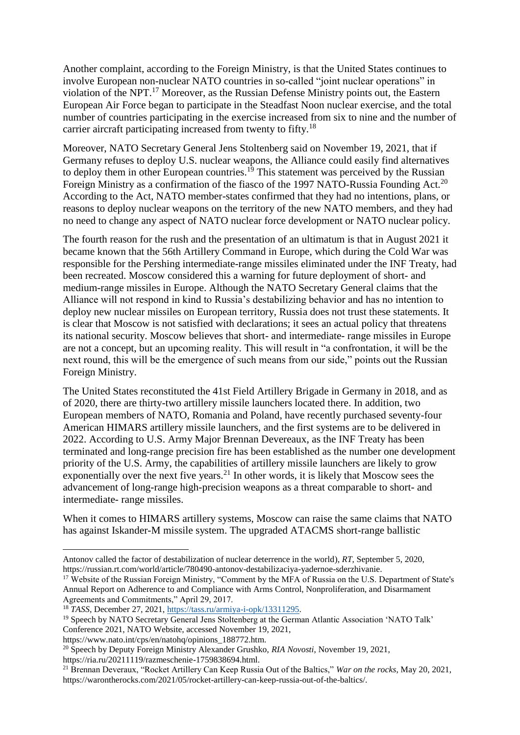Another complaint, according to the Foreign Ministry, is that the United States continues to involve European non-nuclear NATO countries in so-called "joint nuclear operations" in violation of the NPT.<sup>17</sup> Moreover, as the Russian Defense Ministry points out, the Eastern European Air Force began to participate in the Steadfast Noon nuclear exercise, and the total number of countries participating in the exercise increased from six to nine and the number of carrier aircraft participating increased from twenty to fifty.<sup>18</sup>

Moreover, NATO Secretary General Jens Stoltenberg said on November 19, 2021, that if Germany refuses to deploy U.S. nuclear weapons, the Alliance could easily find alternatives to deploy them in other European countries.<sup>19</sup> This statement was perceived by the Russian Foreign Ministry as a confirmation of the fiasco of the 1997 NATO-Russia Founding Act.<sup>20</sup> According to the Act, NATO member-states confirmed that they had no intentions, plans, or reasons to deploy nuclear weapons on the territory of the new NATO members, and they had no need to change any aspect of NATO nuclear force development or NATO nuclear policy.

The fourth reason for the rush and the presentation of an ultimatum is that in August 2021 it became known that the 56th Artillery Command in Europe, which during the Cold War was responsible for the Pershing intermediate-range missiles eliminated under the INF Treaty, had been recreated. Moscow considered this a warning for future deployment of short- and medium-range missiles in Europe. Although the NATO Secretary General claims that the Alliance will not respond in kind to Russia's destabilizing behavior and has no intention to deploy new nuclear missiles on European territory, Russia does not trust these statements. It is clear that Moscow is not satisfied with declarations; it sees an actual policy that threatens its national security. Moscow believes that short- and intermediate- range missiles in Europe are not a concept, but an upcoming reality. This will result in "a confrontation, it will be the next round, this will be the emergence of such means from our side," points out the Russian Foreign Ministry.

The United States reconstituted the 41st Field Artillery Brigade in Germany in 2018, and as of 2020, there are thirty-two artillery missile launchers located there. In addition, two European members of NATO, Romania and Poland, have recently purchased seventy-four American HIMARS artillery missile launchers, and the first systems are to be delivered in 2022. According to U.S. Army Major Brennan Devereaux, as the INF Treaty has been terminated and long-range precision fire has been established as the number one development priority of the U.S. Army, the capabilities of artillery missile launchers are likely to grow exponentially over the next five years.<sup>21</sup> In other words, it is likely that Moscow sees the advancement of long-range high-precision weapons as a threat comparable to short- and intermediate- range missiles.

When it comes to HIMARS artillery systems, Moscow can raise the same claims that NATO has against Iskander-M missile system. The upgraded ATACMS short-range ballistic

https://www.nato.int/cps/en/natohq/opinions\_188772.htm.

https://ria.ru/20211119/razmeschenie-1759838694.html.

<sup>1</sup> Antonov called the factor of destabilization of nuclear deterrence in the world), *RT*, September 5, 2020, https://russian.rt.com/world/article/780490-antonov-destabilizaciya-yadernoe-sderzhivanie.

<sup>&</sup>lt;sup>17</sup> Website of the Russian Foreign Ministry, "Comment by the MFA of Russia on the U.S. Department of State's Annual Report on Adherence to and Compliance with Arms Control, Nonproliferation, and Disarmament Agreements and Commitments," April 29, 2017.

<sup>18</sup> *TASS*, December 27, 2021, [https://tass.ru/armiya-i-opk/13311295.](https://tass.ru/armiya-i-opk/13311295)

<sup>&</sup>lt;sup>19</sup> Speech by NATO Secretary General Jens Stoltenberg at the German Atlantic Association 'NATO Talk' Conference 2021, NATO Website, accessed November 19, 2021,

<sup>20</sup> Speech by Deputy Foreign Ministry Alexander Grushko, *RIA Novosti*, November 19, 2021,

<sup>21</sup> Brennan Deveraux, "Rocket Artillery Can Keep Russia Out of the Baltics," *War on the rocks*, May 20, 2021, https://warontherocks.com/2021/05/rocket-artillery-can-keep-russia-out-of-the-baltics/.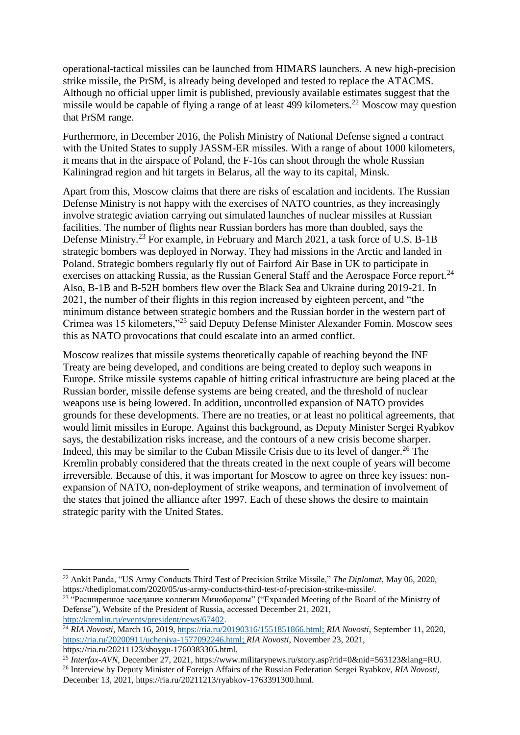operational-tactical missiles can be launched from HIMARS launchers. A new high-precision strike missile, the PrSM, is already being developed and tested to replace the ATACMS. Although no official upper limit is published, previously available estimates suggest that the missile would be capable of flying a range of at least 499 kilometers.<sup>22</sup> Moscow may question that PrSM range.

Furthermore, in December 2016, the Polish Ministry of National Defense signed a contract with the United States to supply JASSM-ER missiles. With a range of about 1000 kilometers, it means that in the airspace of Poland, the F-16s can shoot through the whole Russian Kaliningrad region and hit targets in Belarus, all the way to its capital, Minsk.

Apart from this, Moscow claims that there are risks of escalation and incidents. The Russian Defense Ministry is not happy with the exercises of NATO countries, as they increasingly involve strategic aviation carrying out simulated launches of nuclear missiles at Russian facilities. The number of flights near Russian borders has more than doubled, says the Defense Ministry.<sup>23</sup> For example, in February and March 2021, a task force of U.S. B-1B strategic bombers was deployed in Norway. They had missions in the Arctic and landed in Poland. Strategic bombers regularly fly out of Fairford Air Base in UK to participate in exercises on attacking Russia, as the Russian General Staff and the Aerospace Force report.<sup>24</sup> Also, B-1B and B-52H bombers flew over the Black Sea and Ukraine during 2019-21. In 2021, the number of their flights in this region increased by eighteen percent, and "the minimum distance between strategic bombers and the Russian border in the western part of Crimea was 15 kilometers,"<sup>25</sup> said Deputy Defense Minister Alexander Fomin. Moscow sees this as NATO provocations that could escalate into an armed conflict.

Moscow realizes that missile systems theoretically capable of reaching beyond the INF Treaty are being developed, and conditions are being created to deploy such weapons in Europe. Strike missile systems capable of hitting critical infrastructure are being placed at the Russian border, missile defense systems are being created, and the threshold of nuclear weapons use is being lowered. In addition, uncontrolled expansion of NATO provides grounds for these developments. There are no treaties, or at least no political agreements, that would limit missiles in Europe. Against this background, as Deputy Minister Sergei Ryabkov says, the destabilization risks increase, and the contours of a new crisis become sharper. Indeed, this may be similar to the Cuban Missile Crisis due to its level of danger.<sup>26</sup> The Kremlin probably considered that the threats created in the next couple of years will become irreversible. Because of this, it was important for Moscow to agree on three key issues: nonexpansion of NATO, non-deployment of strike weapons, and termination of involvement of the states that joined the alliance after 1997. Each of these shows the desire to maintain strategic parity with the United States.

**.** 

<sup>22</sup> Ankit Panda, "US Army Conducts Third Test of Precision Strike Missile," *The Diplomat*, May 06, 2020, https://thediplomat.com/2020/05/us-army-conducts-third-test-of-precision-strike-missile/.

<sup>&</sup>lt;sup>23</sup> "Расширенное заседание коллегии Минобороны" ("Expanded Meeting of the Board of the Ministry of Defense"), Website of the President of Russia, accessed December 21, 2021, [http://kremlin.ru/events/president/news/67402.](http://kremlin.ru/events/president/news/67402)

<sup>24</sup> *RIA Novosti*, March 16, 2019, [https://ria.ru/20190316/1551851866.html;](https://ria.ru/20190316/1551851866.html) *RIA Novosti*, September 11, 2020, [https://ria.ru/20200911/ucheniya-1577092246.html;](https://ria.ru/20200911/ucheniya-1577092246.html) *RIA Novosti*, November 23, 2021,

https://ria.ru/20211123/shoygu-1760383305.html.

<sup>25</sup> *Interfax-AVN*, December 27, 2021, https://www.militarynews.ru/story.asp?rid=0&nid=563123&lang=RU. <sup>26</sup> Interview by Deputy Minister of Foreign Affairs of the Russian Federation Sergei Ryabkov, *RIA Novosti*,

December 13, 2021, https://ria.ru/20211213/ryabkov-1763391300.html.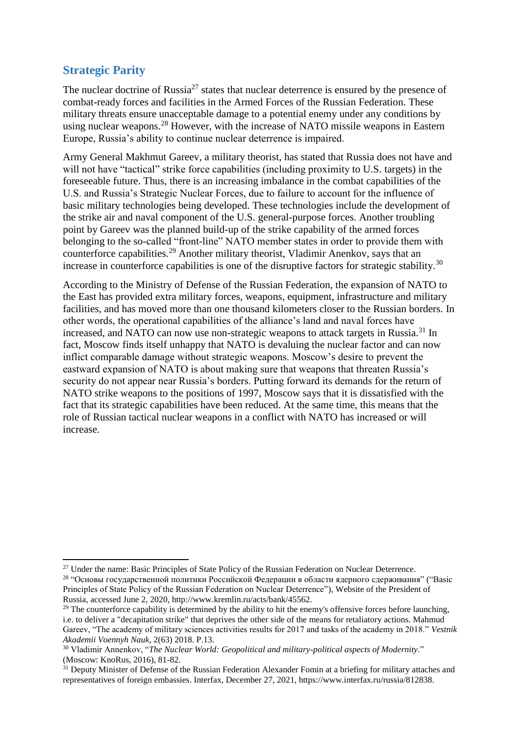# **Strategic Parity**

**.** 

The nuclear doctrine of Russia<sup>27</sup> states that nuclear deterrence is ensured by the presence of combat-ready forces and facilities in the Armed Forces of the Russian Federation. These military threats ensure unacceptable damage to a potential enemy under any conditions by using nuclear weapons.<sup>28</sup> However, with the increase of NATO missile weapons in Eastern Europe, Russia's ability to continue nuclear deterrence is impaired.

Army General Makhmut Gareev, a military theorist, has stated that Russia does not have and will not have "tactical" strike force capabilities (including proximity to U.S. targets) in the foreseeable future. Thus, there is an increasing imbalance in the combat capabilities of the U.S. and Russia's Strategic Nuclear Forces, due to failure to account for the influence of basic military technologies being developed. These technologies include the development of the strike air and naval component of the U.S. general-purpose forces. Another troubling point by Gareev was the planned build-up of the strike capability of the armed forces belonging to the so-called "front-line" NATO member states in order to provide them with counterforce capabilities.<sup>29</sup> Another military theorist, Vladimir Anenkov, says that an increase in counterforce capabilities is one of the disruptive factors for strategic stability.<sup>30</sup>

According to the Ministry of Defense of the Russian Federation, the expansion of NATO to the East has provided extra military forces, weapons, equipment, infrastructure and military facilities, and has moved more than one thousand kilometers closer to the Russian borders. In other words, the operational capabilities of the alliance's land and naval forces have increased, and NATO can now use non-strategic weapons to attack targets in Russia.<sup>31</sup> In fact, Moscow finds itself unhappy that NATO is devaluing the nuclear factor and can now inflict comparable damage without strategic weapons. Moscow's desire to prevent the eastward expansion of NATO is about making sure that weapons that threaten Russia's security do not appear near Russia's borders. Putting forward its demands for the return of NATO strike weapons to the positions of 1997, Moscow says that it is dissatisfied with the fact that its strategic capabilities have been reduced. At the same time, this means that the role of Russian tactical nuclear weapons in a conflict with NATO has increased or will increase.

<sup>&</sup>lt;sup>27</sup> Under the name: Basic Principles of State Policy of the Russian Federation on Nuclear Deterrence.

<sup>&</sup>lt;sup>28</sup> "Основы государственной политики Российской Федерации в области ядерного сдерживания" ("Basic Principles of State Policy of the Russian Federation on Nuclear Deterrence"), Website of the President of Russia, accessed June 2, 2020, http://www.kremlin.ru/acts/bank/45562.

<sup>&</sup>lt;sup>29</sup> The counterforce capability is determined by the ability to hit the enemy's offensive forces before launching, i.e. to deliver a "decapitation strike" that deprives the other side of the means for retaliatory actions. Mahmud Gareev, "The academy of military sciences activities results for 2017 and tasks of the academy in 2018." *Vestnik Akademii Voennyh Nauk*, 2(63) 2018. P.13.

<sup>30</sup> Vladimir Annenkov, "*The Nuclear World: Geopolitical and military-political aspects of Modernity*." (Moscow: KnoRus, 2016), 81-82.

<sup>&</sup>lt;sup>31</sup> Deputy Minister of Defense of the Russian Federation Alexander Fomin at a briefing for military attaches and representatives of foreign embassies. Interfax, December 27, 2021, https://www.interfax.ru/russia/812838.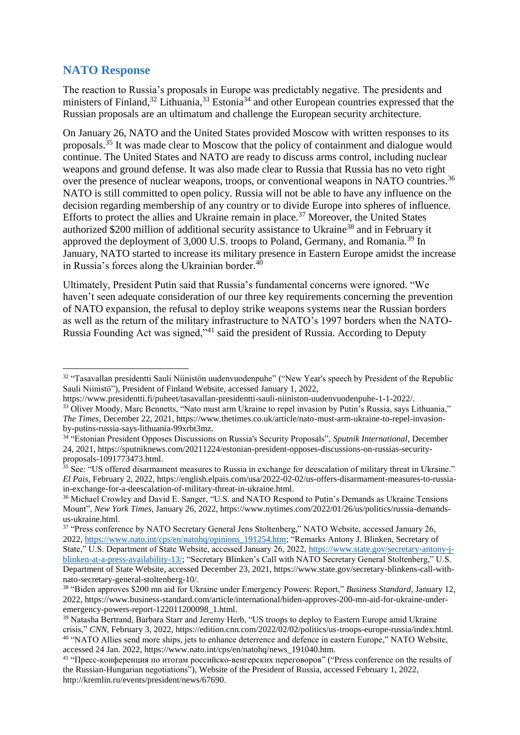# **NATO Response**

The reaction to Russia's proposals in Europe was predictably negative. The presidents and ministers of Finland,<sup>32</sup> Lithuania,<sup>33</sup> Estonia<sup>34</sup> and other European countries expressed that the Russian proposals are an ultimatum and challenge the European security architecture.

On January 26, NATO and the United States provided Moscow with written responses to its proposals.<sup>35</sup> It was made clear to Moscow that the policy of containment and dialogue would continue. The United States and NATO are ready to discuss arms control, including nuclear weapons and ground defense. It was also made clear to Russia that Russia has no veto right over the presence of nuclear weapons, troops, or conventional weapons in NATO countries.<sup>36</sup> NATO is still committed to open policy. Russia will not be able to have any influence on the decision regarding membership of any country or to divide Europe into spheres of influence. Efforts to protect the allies and Ukraine remain in place.<sup>37</sup> Moreover, the United States authorized \$200 million of additional security assistance to Ukraine<sup>38</sup> and in February it approved the deployment of 3,000 U.S. troops to Poland, Germany, and Romania.<sup>39</sup> In January, NATO started to increase its military presence in Eastern Europe amidst the increase in Russia's forces along the Ukrainian border. $40$ 

Ultimately, President Putin said that Russia's fundamental concerns were ignored. "We haven't seen adequate consideration of our three key requirements concerning the prevention of NATO expansion, the refusal to deploy strike weapons systems near the Russian borders as well as the return of the military infrastructure to NATO's 1997 borders when the NATO-Russia Founding Act was signed,"<sup>41</sup> said the president of Russia. According to Deputy

**<sup>.</sup>** <sup>32</sup> "Tasavallan presidentti Sauli Niinistön uudenvuodenpuhe" ("New Year's speech by President of the Republic Sauli Niinistö"), President of Finland Website, accessed January 1, 2022,

https://www.presidentti.fi/puheet/tasavallan-presidentti-sauli-niiniston-uudenvuodenpuhe-1-1-2022/. <sup>33</sup> Oliver Moody, Marc Bennetts, "Nato must arm Ukraine to repel invasion by Putin's Russia, says Lithuania," *The Times*, December 22, 2021, https://www.thetimes.co.uk/article/nato-must-arm-ukraine-to-repel-invasionby-putins-russia-says-lithuania-99xrbt3mz.

<sup>34</sup> "Estonian President Opposes Discussions on Russia's Security Proposals", *Sputnik International*, December 24, 2021, https://sputniknews.com/20211224/estonian-president-opposes-discussions-on-russias-securityproposals-1091773473.html.

<sup>&</sup>lt;sup>35</sup> See: "US offered disarmament measures to Russia in exchange for deescalation of military threat in Ukraine." *El Pais*, February 2, 2022, https://english.elpais.com/usa/2022-02-02/us-offers-disarmament-measures-to-russiain-exchange-for-a-deescalation-of-military-threat-in-ukraine.html.

<sup>&</sup>lt;sup>36</sup> Michael Crowley and David E. Sanger, "U.S. and NATO Respond to Putin's Demands as Ukraine Tensions Mount", *New York Times*, January 26, 2022, https://www.nytimes.com/2022/01/26/us/politics/russia-demandsus-ukraine.html.

<sup>37</sup> "Press conference by NATO Secretary General Jens Stoltenberg," NATO Website, accessed January 26, 2022, [https://www.nato.int/cps/en/natohq/opinions\\_191254.htm;](https://www.nato.int/cps/en/natohq/opinions_191254.htm) "Remarks Antony J. Blinken, Secretary of State," U.S. Department of State Website, accessed January 26, 2022, [https://www.state.gov/secretary-antony-j](https://www.state.gov/secretary-antony-j-blinken-at-a-press-availability-13/)[blinken-at-a-press-availability-13/;](https://www.state.gov/secretary-antony-j-blinken-at-a-press-availability-13/) "Secretary Blinken's Call with NATO Secretary General Stoltenberg," U.S. Department of State Website, accessed December 23, 2021, https://www.state.gov/secretary-blinkens-call-withnato-secretary-general-stoltenberg-10/.

<sup>38</sup> "Biden approves \$200 mn aid for Ukraine under Emergency Powers: Report," *Business Standard*, January 12, 2022, https://www.business-standard.com/article/international/biden-approves-200-mn-aid-for-ukraine-underemergency-powers-report-122011200098\_1.html.

<sup>&</sup>lt;sup>39</sup> Natasha Bertrand, Barbara Starr and Jeremy Herb, "US troops to deploy to Eastern Europe amid Ukraine crisis," *CNN*, February 3, 2022, https://edition.cnn.com/2022/02/02/politics/us-troops-europe-russia/index.html. <sup>40</sup> "NATO Allies send more ships, jets to enhance deterrence and defence in eastern Europe," NATO Website, accessed 24 Jan. 2022, https://www.nato.int/cps/en/natohq/news\_191040.htm.

<sup>&</sup>lt;sup>41</sup> "Пресс-конференция по итогам российско-венгерских переговоров" ("Press conference on the results of the Russian-Hungarian negotiations"), Website of the President of Russia, accessed February 1, 2022, http://kremlin.ru/events/president/news/67690.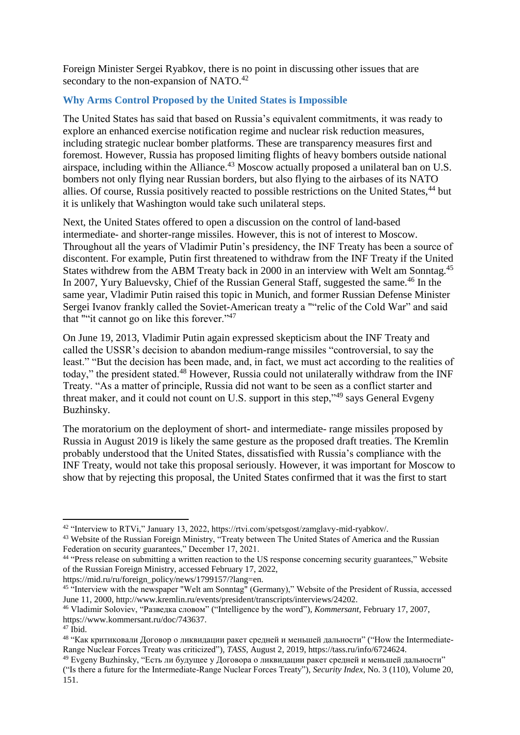Foreign Minister Sergei Ryabkov, there is no point in discussing other issues that are secondary to the non-expansion of NATO.<sup>42</sup>

### **Why Arms Control Proposed by the United States is Impossible**

The United States has said that based on Russia's equivalent commitments, it was ready to explore an enhanced exercise notification regime and nuclear risk reduction measures, including strategic nuclear bomber platforms. These are transparency measures first and foremost. However, Russia has proposed limiting flights of heavy bombers outside national airspace, including within the Alliance.<sup>43</sup> Moscow actually proposed a unilateral ban on U.S. bombers not only flying near Russian borders, but also flying to the airbases of its NATO allies. Of course, Russia positively reacted to possible restrictions on the United States,<sup>44</sup> but it is unlikely that Washington would take such unilateral steps.

Next, the United States offered to open a discussion on the control of land-based intermediate- and shorter-range missiles. However, this is not of interest to Moscow. Throughout all the years of Vladimir Putin's presidency, the INF Treaty has been a source of discontent. For example, Putin first threatened to withdraw from the INF Treaty if the United States withdrew from the ABM Treaty back in 2000 in an interview with Welt am Sonntag.<sup>45</sup> In 2007, Yury Baluevsky, Chief of the Russian General Staff, suggested the same.<sup>46</sup> In the same year, Vladimir Putin raised this topic in Munich, and former Russian Defense Minister Sergei Ivanov frankly called the Soviet-American treaty a ""relic of the Cold War" and said that ""it cannot go on like this forever."<sup>47</sup>

On June 19, 2013, Vladimir Putin again expressed skepticism about the INF Treaty and called the USSR's decision to abandon medium-range missiles "controversial, to say the least." "But the decision has been made, and, in fact, we must act according to the realities of today," the president stated.<sup>48</sup> However, Russia could not unilaterally withdraw from the INF Treaty. "As a matter of principle, Russia did not want to be seen as a conflict starter and threat maker, and it could not count on U.S. support in this step,<sup>349</sup> says General Evgeny Buzhinsky.

The moratorium on the deployment of short- and intermediate- range missiles proposed by Russia in August 2019 is likely the same gesture as the proposed draft treaties. The Kremlin probably understood that the United States, dissatisfied with Russia's compliance with the INF Treaty, would not take this proposal seriously. However, it was important for Moscow to show that by rejecting this proposal, the United States confirmed that it was the first to start

https://mid.ru/ru/foreign\_policy/news/1799157/?lang=en.

<sup>1</sup> <sup>42</sup> "Interview to RTVi," January 13, 2022, https://rtvi.com/spetsgost/zamglavy-mid-ryabkov/.

<sup>&</sup>lt;sup>43</sup> Website of the Russian Foreign Ministry, "Treaty between The United States of America and the Russian Federation on security guarantees," December 17, 2021.

<sup>44</sup> "Press release on submitting a written reaction to the US response concerning security guarantees," Website of the Russian Foreign Ministry, accessed February 17, 2022,

<sup>&</sup>lt;sup>45 "</sup>Interview with the newspaper "Welt am Sonntag" (Germany)," Website of the President of Russia, accessed June 11, 2000, http://www.kremlin.ru/events/president/transcripts/interviews/24202.

<sup>46</sup> Vladimir Soloviev, "Разведка словом" ("Intelligence by the word"), *Kommersant*, February 17, 2007, https://www.kommersant.ru/doc/743637.

 $47$  Ibid.

<sup>&</sup>lt;sup>48</sup> "Как критиковали Договор о ликвидации ракет средней и меньшей дальности" ("How the Intermediate-Range Nuclear Forces Treaty was criticized"), *TASS*, August 2, 2019, https://tass.ru/info/6724624.

<sup>49</sup> Evgeny Buzhinsky, "Есть ли будущее у Договора о ликвидации ракет средней и меньшей дальности" ("Is there a future for the Intermediate-Range Nuclear Forces Treaty"), *Security Index*, No. 3 (110), Volume 20, 151.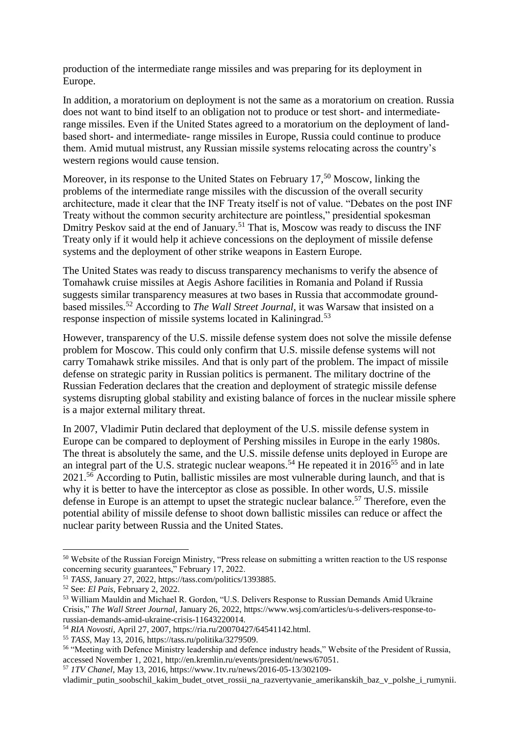production of the intermediate range missiles and was preparing for its deployment in Europe.

In addition, a moratorium on deployment is not the same as a moratorium on creation. Russia does not want to bind itself to an obligation not to produce or test short- and intermediaterange missiles. Even if the United States agreed to a moratorium on the deployment of landbased short- and intermediate- range missiles in Europe, Russia could continue to produce them. Amid mutual mistrust, any Russian missile systems relocating across the country's western regions would cause tension.

Moreover, in its response to the United States on February  $17<sup>50</sup>$  Moscow, linking the problems of the intermediate range missiles with the discussion of the overall security architecture, made it clear that the INF Treaty itself is not of value. "Debates on the post INF Treaty without the common security architecture are pointless," presidential spokesman Dmitry Peskov said at the end of January.<sup>51</sup> That is, Moscow was ready to discuss the INF Treaty only if it would help it achieve concessions on the deployment of missile defense systems and the deployment of other strike weapons in Eastern Europe.

The United States was ready to discuss transparency mechanisms to verify the absence of Tomahawk cruise missiles at Aegis Ashore facilities in Romania and Poland if Russia suggests similar transparency measures at two bases in Russia that accommodate groundbased missiles.<sup>52</sup> According to *The Wall Street Journal*, it was Warsaw that insisted on a response inspection of missile systems located in Kaliningrad.<sup>53</sup>

However, transparency of the U.S. missile defense system does not solve the missile defense problem for Moscow. This could only confirm that U.S. missile defense systems will not carry Tomahawk strike missiles. And that is only part of the problem. The impact of missile defense on strategic parity in Russian politics is permanent. The military doctrine of the Russian Federation declares that the creation and deployment of strategic missile defense systems disrupting global stability and existing balance of forces in the nuclear missile sphere is a major external military threat.

In 2007, Vladimir Putin declared that deployment of the U.S. missile defense system in Europe can be compared to deployment of Pershing missiles in Europe in the early 1980s. The threat is absolutely the same, and the U.S. missile defense units deployed in Europe are an integral part of the U.S. strategic nuclear weapons.<sup>54</sup> He repeated it in  $2016^{55}$  and in late  $2021$ <sup>56</sup> According to Putin, ballistic missiles are most vulnerable during launch, and that is why it is better to have the interceptor as close as possible. In other words, U.S. missile defense in Europe is an attempt to upset the strategic nuclear balance.<sup>57</sup> Therefore, even the potential ability of missile defense to shoot down ballistic missiles can reduce or affect the nuclear parity between Russia and the United States.

1

<sup>55</sup> *TASS*, May 13, 2016, https://tass.ru/politika/3279509.

<sup>&</sup>lt;sup>50</sup> Website of the Russian Foreign Ministry, "Press release on submitting a written reaction to the US response concerning security guarantees," February 17, 2022.

<sup>51</sup> *TASS*, January 27, 2022, https://tass.com/politics/1393885.

<sup>52</sup> See: *El Pais*, February 2, 2022.

<sup>53</sup> William Mauldin and Michael R. Gordon, "U.S. Delivers Response to Russian Demands Amid Ukraine Crisis," *The Wall Street Journal*, January 26, 2022, https://www.wsj.com/articles/u-s-delivers-response-torussian-demands-amid-ukraine-crisis-11643220014.

<sup>54</sup> *RIA Novosti*, April 27, 2007, https://ria.ru/20070427/64541142.html.

<sup>56</sup> "Meeting with Defence Ministry leadership and defence industry heads," Website of the President of Russia, accessed November 1, 2021, http://en.kremlin.ru/events/president/news/67051.

<sup>57</sup> *1TV Chanel*, May 13, 2016, https://www.1tv.ru/news/2016-05-13/302109-

vladimir\_putin\_soobschil\_kakim\_budet\_otvet\_rossii\_na\_razvertyvanie\_amerikanskih\_baz\_v\_polshe\_i\_rumynii.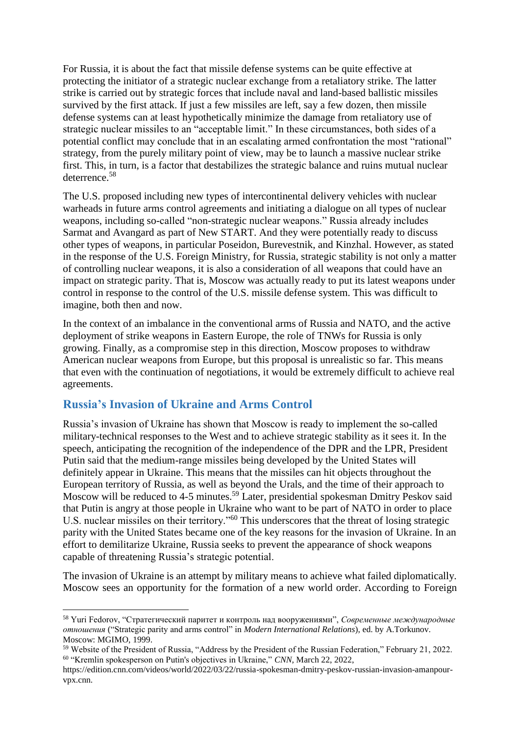For Russia, it is about the fact that missile defense systems can be quite effective at protecting the initiator of a strategic nuclear exchange from a retaliatory strike. The latter strike is carried out by strategic forces that include naval and land-based ballistic missiles survived by the first attack. If just a few missiles are left, say a few dozen, then missile defense systems can at least hypothetically minimize the damage from retaliatory use of strategic nuclear missiles to an "acceptable limit." In these circumstances, both sides of a potential conflict may conclude that in an escalating armed confrontation the most "rational" strategy, from the purely military point of view, may be to launch a massive nuclear strike first. This, in turn, is a factor that destabilizes the strategic balance and ruins mutual nuclear deterrence.<sup>58</sup>

The U.S. proposed including new types of intercontinental delivery vehicles with nuclear warheads in future arms control agreements and initiating a dialogue on all types of nuclear weapons, including so-called "non-strategic nuclear weapons." Russia already includes Sarmat and Avangard as part of New START. And they were potentially ready to discuss other types of weapons, in particular Poseidon, Burevestnik, and Kinzhal. However, as stated in the response of the U.S. Foreign Ministry, for Russia, strategic stability is not only a matter of controlling nuclear weapons, it is also a consideration of all weapons that could have an impact on strategic parity. That is, Moscow was actually ready to put its latest weapons under control in response to the control of the U.S. missile defense system. This was difficult to imagine, both then and now.

In the context of an imbalance in the conventional arms of Russia and NATO, and the active deployment of strike weapons in Eastern Europe, the role of TNWs for Russia is only growing. Finally, as a compromise step in this direction, Moscow proposes to withdraw American nuclear weapons from Europe, but this proposal is unrealistic so far. This means that even with the continuation of negotiations, it would be extremely difficult to achieve real agreements.

## **Russia's Invasion of Ukraine and Arms Control**

1

Russia's invasion of Ukraine has shown that Moscow is ready to implement the so-called military-technical responses to the West and to achieve strategic stability as it sees it. In the speech, anticipating the recognition of the independence of the DPR and the LPR, President Putin said that the medium-range missiles being developed by the United States will definitely appear in Ukraine. This means that the missiles can hit objects throughout the European territory of Russia, as well as beyond the Urals, and the time of their approach to Moscow will be reduced to 4-5 minutes.<sup>59</sup> Later, presidential spokesman Dmitry Peskov said that Putin is angry at those people in Ukraine who want to be part of NATO in order to place U.S. nuclear missiles on their territory."<sup>60</sup> This underscores that the threat of losing strategic parity with the United States became one of the key reasons for the invasion of Ukraine. In an effort to demilitarize Ukraine, Russia seeks to prevent the appearance of shock weapons capable of threatening Russia's strategic potential.

The invasion of Ukraine is an attempt by military means to achieve what failed diplomatically. Moscow sees an opportunity for the formation of a new world order. According to Foreign

<sup>58</sup> Yuri Fedorov, "Стратегический паритет и контроль над вооружениями", *Современные международные отношения* ("Strategic parity and arms control" in *Modern International Relations*), ed. by A.Torkunov. Moscow: MGIMO, 1999.

<sup>59</sup> Website of the President of Russia, "Address by the President of the Russian Federation," February 21, 2022. <sup>60</sup> "Kremlin spokesperson on Putin's objectives in Ukraine," *CNN*, March 22, 2022,

https://edition.cnn.com/videos/world/2022/03/22/russia-spokesman-dmitry-peskov-russian-invasion-amanpourvpx.cnn.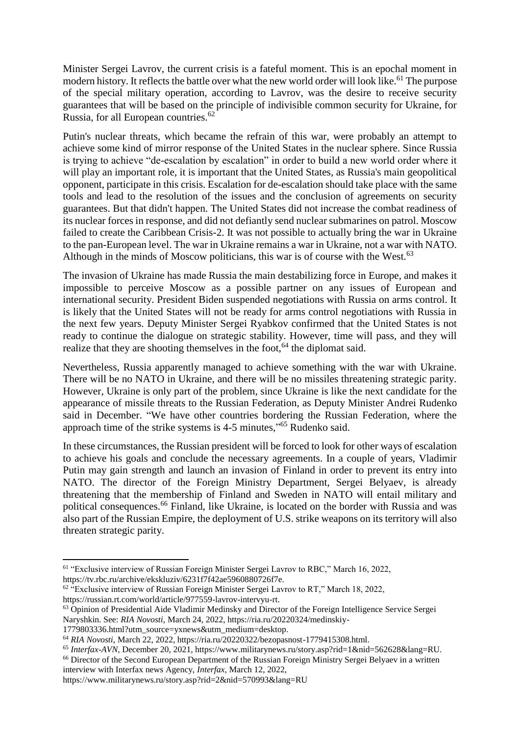Minister Sergei Lavrov, the current crisis is a fateful moment. This is an epochal moment in modern history. It reflects the battle over what the new world order will look like.<sup>61</sup> The purpose of the special military operation, according to Lavrov, was the desire to receive security guarantees that will be based on the principle of indivisible common security for Ukraine, for Russia, for all European countries.<sup>62</sup>

Putin's nuclear threats, which became the refrain of this war, were probably an attempt to achieve some kind of mirror response of the United States in the nuclear sphere. Since Russia is trying to achieve "de-escalation by escalation" in order to build a new world order where it will play an important role, it is important that the United States, as Russia's main geopolitical opponent, participate in this crisis. Escalation for de-escalation should take place with the same tools and lead to the resolution of the issues and the conclusion of agreements on security guarantees. But that didn't happen. The United States did not increase the combat readiness of its nuclear forces in response, and did not defiantly send nuclear submarines on patrol. Moscow failed to create the Caribbean Crisis-2. It was not possible to actually bring the war in Ukraine to the pan-European level. The war in Ukraine remains a war in Ukraine, not a war with NATO. Although in the minds of Moscow politicians, this war is of course with the West. $63$ 

The invasion of Ukraine has made Russia the main destabilizing force in Europe, and makes it impossible to perceive Moscow as a possible partner on any issues of European and international security. President Biden suspended negotiations with Russia on arms control. It is likely that the United States will not be ready for arms control negotiations with Russia in the next few years. Deputy Minister Sergei Ryabkov confirmed that the United States is not ready to continue the dialogue on strategic stability. However, time will pass, and they will realize that they are shooting themselves in the foot,<sup>64</sup> the diplomat said.

Nevertheless, Russia apparently managed to achieve something with the war with Ukraine. There will be no NATO in Ukraine, and there will be no missiles threatening strategic parity. However, Ukraine is only part of the problem, since Ukraine is like the next candidate for the appearance of missile threats to the Russian Federation, as Deputy Minister Andrei Rudenko said in December. "We have other countries bordering the Russian Federation, where the approach time of the strike systems is 4-5 minutes,"<sup>65</sup> Rudenko said.

In these circumstances, the Russian president will be forced to look for other ways of escalation to achieve his goals and conclude the necessary agreements. In a couple of years, Vladimir Putin may gain strength and launch an invasion of Finland in order to prevent its entry into NATO. The director of the Foreign Ministry Department, Sergei Belyaev, is already threatening that the membership of Finland and Sweden in NATO will entail military and political consequences.<sup>66</sup> Finland, like Ukraine, is located on the border with Russia and was also part of the Russian Empire, the deployment of U.S. strike weapons on its territory will also threaten strategic parity.

1779803336.html?utm\_source=yxnews&utm\_medium=desktop.

**.** 

<sup>64</sup> *RIA Novosti*, March 22, 2022, https://ria.ru/20220322/bezopasnost-1779415308.html.

<sup>65</sup> *Interfax-AVN*, December 20, 2021, https://www.militarynews.ru/story.asp?rid=1&nid=562628&lang=RU.

<sup>66</sup> Director of the Second European Department of the Russian Foreign Ministry Sergei Belyaev in a written interview with Interfax news Agency, *Interfax*, March 12, 2022,

https://www.militarynews.ru/story.asp?rid=2&nid=570993&lang=RU

<sup>61</sup> "Exclusive interview of Russian Foreign Minister Sergei Lavrov to RBC," March 16, 2022, https://tv.rbc.ru/archive/ekskluziv/6231f7f42ae5960880726f7e.

 $62$  "Exclusive interview of Russian Foreign Minister Sergei Lavrov to RT," March 18, 2022, https://russian.rt.com/world/article/977559-lavrov-intervyu-rt.

<sup>63</sup> Opinion of Presidential Aide Vladimir Medinsky and Director of the Foreign Intelligence Service Sergei Naryshkin. See: *RIA Novosti*, March 24, 2022, https://ria.ru/20220324/medinskiy-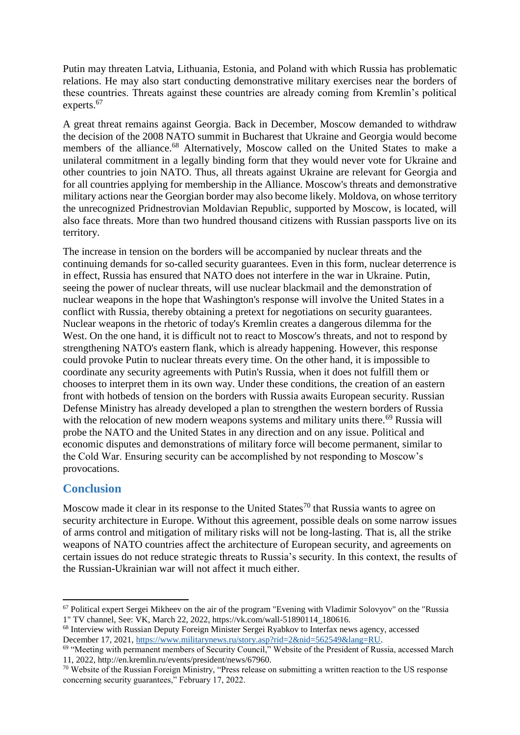Putin may threaten Latvia, Lithuania, Estonia, and Poland with which Russia has problematic relations. He may also start conducting demonstrative military exercises near the borders of these countries. Threats against these countries are already coming from Kremlin's political experts.<sup>67</sup>

A great threat remains against Georgia. Back in December, Moscow demanded to withdraw the decision of the 2008 NATO summit in Bucharest that Ukraine and Georgia would become members of the alliance.<sup>68</sup> Alternatively, Moscow called on the United States to make a unilateral commitment in a legally binding form that they would never vote for Ukraine and other countries to join NATO. Thus, all threats against Ukraine are relevant for Georgia and for all countries applying for membership in the Alliance. Moscow's threats and demonstrative military actions near the Georgian border may also become likely. Moldova, on whose territory the unrecognized Pridnestrovian Moldavian Republic, supported by Moscow, is located, will also face threats. More than two hundred thousand citizens with Russian passports live on its territory.

The increase in tension on the borders will be accompanied by nuclear threats and the continuing demands for so-called security guarantees. Even in this form, nuclear deterrence is in effect, Russia has ensured that NATO does not interfere in the war in Ukraine. Putin, seeing the power of nuclear threats, will use nuclear blackmail and the demonstration of nuclear weapons in the hope that Washington's response will involve the United States in a conflict with Russia, thereby obtaining a pretext for negotiations on security guarantees. Nuclear weapons in the rhetoric of today's Kremlin creates a dangerous dilemma for the West. On the one hand, it is difficult not to react to Moscow's threats, and not to respond by strengthening NATO's eastern flank, which is already happening. However, this response could provoke Putin to nuclear threats every time. On the other hand, it is impossible to coordinate any security agreements with Putin's Russia, when it does not fulfill them or chooses to interpret them in its own way. Under these conditions, the creation of an eastern front with hotbeds of tension on the borders with Russia awaits European security. Russian Defense Ministry has already developed a plan to strengthen the western borders of Russia with the relocation of new modern weapons systems and military units there.<sup>69</sup> Russia will probe the NATO and the United States in any direction and on any issue. Political and economic disputes and demonstrations of military force will become permanent, similar to the Cold War. Ensuring security can be accomplished by not responding to Moscow's provocations.

### **Conclusion**

**.** 

Moscow made it clear in its response to the United States<sup>70</sup> that Russia wants to agree on security architecture in Europe. Without this agreement, possible deals on some narrow issues of arms control and mitigation of military risks will not be long-lasting. That is, all the strike weapons of NATO countries affect the architecture of European security, and agreements on certain issues do not reduce strategic threats to Russia's security. In this context, the results of the Russian-Ukrainian war will not affect it much either.

<sup>&</sup>lt;sup>67</sup> Political expert Sergei Mikheev on the air of the program "Evening with Vladimir Solovyov" on the "Russia 1" TV channel, See: VK, March 22, 2022, https://vk.com/wall-51890114\_180616.

<sup>68</sup> Interview with Russian Deputy Foreign Minister Sergei Ryabkov to Interfax news agency, accessed December 17, 2021[, https://www.militarynews.ru/story.asp?rid=2&nid=562549&lang=RU.](https://www.militarynews.ru/story.asp?rid=2&nid=562549&lang=RU)

<sup>&</sup>lt;sup>69</sup> "Meeting with permanent members of Security Council," Website of the President of Russia, accessed March 11, 2022, http://en.kremlin.ru/events/president/news/67960.

<sup>&</sup>lt;sup>70</sup> Website of the Russian Foreign Ministry, "Press release on submitting a written reaction to the US response concerning security guarantees," February 17, 2022.